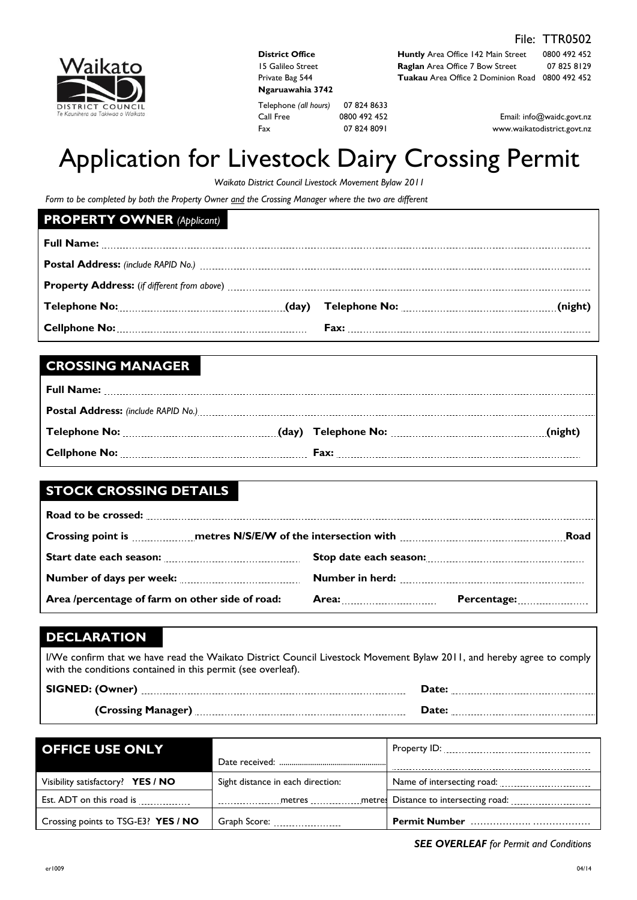

| <b>District Office</b> |
|------------------------|
| 15 Galileo Street      |
| Private Bag 544        |
| Ngaruawahia 3742       |
|                        |

Telephone *(all hours)* 07 824 8633 Call Free 0800 492 452 Fax 07 824 8091

**Huntly** Area Office 142 Main Street 0800 492 452 **Raglan** Area Office 7 Bow Street 07 825 8129 **Tuakau** Area Office 2 Dominion Road 0800 492 452

> Email: info@waidc.govt.nz www.waikatodistrict.govt.nz

# Application for Livestock Dairy Crossing Permit

*Waikato District Council Livestock Movement Bylaw 2011*

*Form to be completed by both the Property Owner and the Crossing Manager where the two are different* 

### **PROPERTY OWNER** *(Applicant)*

| Telephone No: (night) Telephone No: (day) Telephone No: (1990) Telephone No: (night) |  |
|--------------------------------------------------------------------------------------|--|
|                                                                                      |  |

## **CROSSING MANAGER**

# **STOCK CROSSING DETAILS**

| Crossing point is <b>much as the SMS/E/W</b> of the intersection with <b>COLL 2006</b> 2006. Road |  |                           |
|---------------------------------------------------------------------------------------------------|--|---------------------------|
|                                                                                                   |  |                           |
|                                                                                                   |  |                           |
| Area /percentage of farm on other side of road:                                                   |  | Percentage: <b>Marken</b> |

# **DECLARATION**

I/We confirm that we have read the Waikato District Council Livestock Movement Bylaw 2011, and hereby agree to comply with the conditions contained in this permit (see overleaf).

| SIGNED: (Owner)    |  |
|--------------------|--|
| (Crossing Manager) |  |

| <b>OFFICE USE ONLY</b>                  |                                              |                                               |
|-----------------------------------------|----------------------------------------------|-----------------------------------------------|
| Visibility satisfactory? YES / NO       | Sight distance in each direction:            |                                               |
| Est. ADT on this road is <b>ELACTER</b> |                                              | metres metre   Distance to intersecting road: |
| Crossing points to TSG-E3? YES / NO     | Graph Score: <b>Carry Contract Structure</b> |                                               |

#### *SEE OVERLEAF for Permit and Conditions*